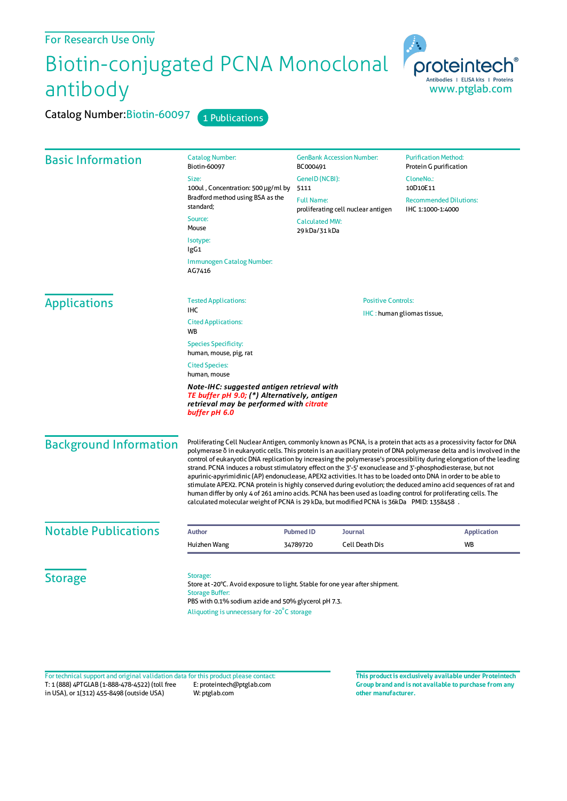## For Research Use Only

Basic Information

## Biotin-conjugated PCNA Monoclonal antibody

Catalog Number: Biotin-60097 Size:

standard; Source: Mouse Isotype: IgG1

AG7416

Catalog Number: Biotin-60097 1 Publications



Positive Controls:

IHC : human gliomas tissue,

## Applications

Tested Applications: IHC Cited Applications:

Immunogen Catalog Number:

**W<sub>R</sub>** Species Specificity:

human, mouse, pig, rat Cited Species: human, mouse

*Note-IHC: suggested antigen retrieval with TE buffer pH 9.0; (\*) Alternatively, antigen retrieval may be performed with citrate buffer pH 6.0*

Background Information

Proliferating Cell Nuclear Antigen, commonly known as PCNA, is a protein that acts as a processivity factor for DNA polymerase δ in eukaryotic cells. This protein is an auxiliary protein ofDNA polymerase delta and isinvolved in the control of eukaryoticDNA replication by increasing the polymerase's processibility during elongation ofthe leading strand. PCNA induces a robust stimulatory effect on the 3'-5' exonuclease and 3'-phosphodiesterase, but not apurinic-apyrimidinic (AP) endonuclease, APEX2 activities. It has to be loaded onto DNA in order to be able to stimulate APEX2. PCNA protein is highly conserved during evolution; the deduced amino acid sequences of rat and human differ by only 4 of 261 amino acids. PCNA has been used asloading control for proliferating cells. The calculated molecularweight of PCNA is 29 kDa, but modified PCNA is 36kDa PMID: 1358458 .

29 kDa/31 kDa

| <b>Notable Publications</b> | <b>Author</b> | Pubmed ID | Journal        | <b>Application</b> |
|-----------------------------|---------------|-----------|----------------|--------------------|
|                             | Huizhen Wang  | 34789720  | Cell Death Dis | WB                 |
|                             |               |           |                |                    |

**Storage** 

Storage:

Store at -20°C. Avoid exposure to light. Stable for one year after shipment. Storage Buffer: PBS with 0.1% sodium azide and 50% glycerol pH 7.3. Aliquoting is unnecessary for -20<sup>°</sup>C storage

T: 1 (888) 4PTGLAB (1-888-478-4522) (toll free in USA), or 1(312) 455-8498 (outside USA) E: proteintech@ptglab.com W: ptglab.com Fortechnical support and original validation data forthis product please contact: **This productis exclusively available under Proteintech**

**Group brand and is not available to purchase from any other manufacturer.**